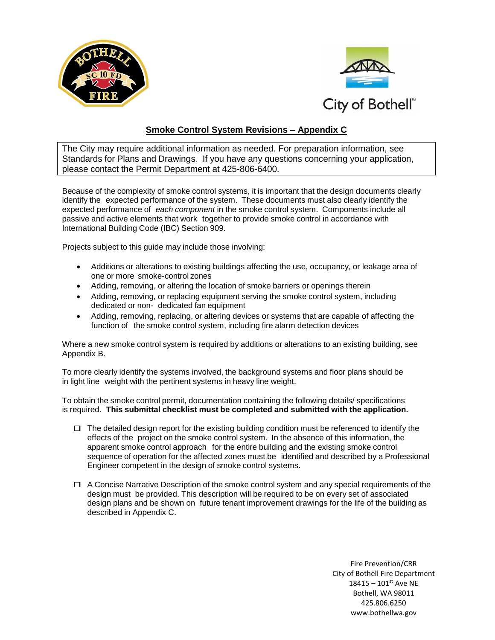



## **Smoke Control System Revisions – Appendix C**

The City may require additional information as needed. For preparation information, see Standards for Plans and Drawings. If you have any questions concerning your application, please contact the Permit Department at 425-806-6400.

Because of the complexity of smoke control systems, it is important that the design documents clearly identify the expected performance of the system. These documents must also clearly identify the expected performance of *each component* in the smoke control system. Components include all passive and active elements that work together to provide smoke control in accordance with International Building Code (IBC) Section 909.

Projects subject to this guide may include those involving:

- Additions or alterations to existing buildings affecting the use, occupancy, or leakage area of one or more smoke-control zones
- Adding, removing, or altering the location of smoke barriers or openings therein
- Adding, removing, or replacing equipment serving the smoke control system, including dedicated or non- dedicated fan equipment
- Adding, removing, replacing, or altering devices or systems that are capable of affecting the function of the smoke control system, including fire alarm detection devices

Where a new smoke control system is required by additions or alterations to an existing building, see Appendix B.

To more clearly identify the systems involved, the background systems and floor plans should be in light line weight with the pertinent systems in heavy line weight.

To obtain the smoke control permit, documentation containing the following details/ specifications is required. **This submittal checklist must be completed and submitted with the application.**

- $\Box$  The detailed design report for the existing building condition must be referenced to identify the effects of the project on the smoke control system. In the absence of this information, the apparent smoke control approach for the entire building and the existing smoke control sequence of operation for the affected zones must be identified and described by a Professional Engineer competent in the design of smoke control systems.
- $\Box$  A Concise Narrative Description of the smoke control system and any special requirements of the design must be provided. This description will be required to be on every set of associated design plans and be shown on future tenant improvement drawings for the life of the building as described in Appendix C.

Fire Prevention/CRR City of Bothell Fire Department  $18415 - 101$ <sup>st</sup> Ave NE Bothell, WA 98011 425.806.6250 www.bothellwa.gov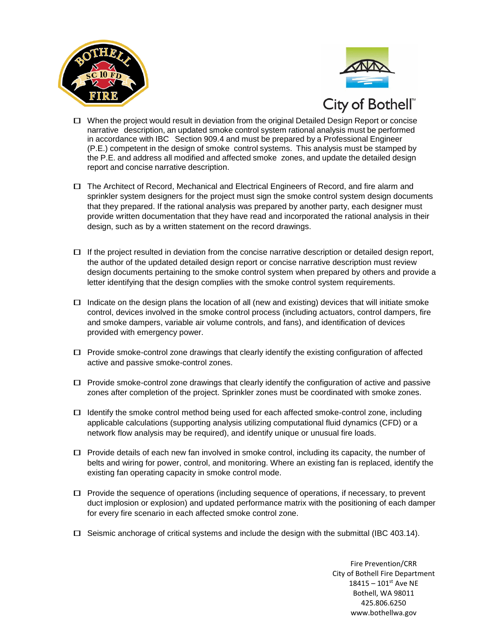



- WHEN TIRE<br>
D When the project would result in deviation from the original Detailed Design Report or concise narrative description, an updated smoke control system rational analysis must be performed in accordance with IBC Section 909.4 and must be prepared by a Professional Engineer (P.E.) competent in the design of smoke control systems. This analysis must be stamped by the P.E. and address all modified and affected smoke zones, and update the detailed design report and concise narrative description.
- The Architect of Record, Mechanical and Electrical Engineers of Record, and fire alarm and sprinkler system designers for the project must sign the smoke control system design documents that they prepared. If the rational analysis was prepared by another party, each designer must provide written documentation that they have read and incorporated the rational analysis in their design, such as by a written statement on the record drawings.
- $\Box$  If the project resulted in deviation from the concise narrative description or detailed design report, the author of the updated detailed design report or concise narrative description must review design documents pertaining to the smoke control system when prepared by others and provide a letter identifying that the design complies with the smoke control system requirements.
- $\Box$  Indicate on the design plans the location of all (new and existing) devices that will initiate smoke control, devices involved in the smoke control process (including actuators, control dampers, fire and smoke dampers, variable air volume controls, and fans), and identification of devices provided with emergency power.
- $\Box$  Provide smoke-control zone drawings that clearly identify the existing configuration of affected active and passive smoke-control zones.
- $\Box$  Provide smoke-control zone drawings that clearly identify the configuration of active and passive zones after completion of the project. Sprinkler zones must be coordinated with smoke zones.
- $\Box$  Identify the smoke control method being used for each affected smoke-control zone, including applicable calculations (supporting analysis utilizing computational fluid dynamics (CFD) or a network flow analysis may be required), and identify unique or unusual fire loads.
- $\Box$  Provide details of each new fan involved in smoke control, including its capacity, the number of belts and wiring for power, control, and monitoring. Where an existing fan is replaced, identify the existing fan operating capacity in smoke control mode.
- $\Box$  Provide the sequence of operations (including sequence of operations, if necessary, to prevent duct implosion or explosion) and updated performance matrix with the positioning of each damper for every fire scenario in each affected smoke control zone.
- $\Box$  Seismic anchorage of critical systems and include the design with the submittal (IBC 403.14).

Fire Prevention/CRR City of Bothell Fire Department  $18415 - 101$ <sup>st</sup> Ave NE Bothell, WA 98011 425.806.6250 www.bothellwa.gov